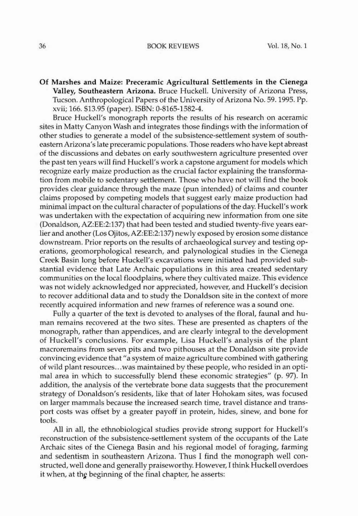Of Marshes and Maize: Preceramic Agricultural Settlements in the Cienega Valley, Southeastern Arizona. Bruce Huckell. University of Arizona Press, Tucson. Anthropological Papers of the University of Arizona No. 59. 1995. Pp. xvii; 166. \$13.95 (paper). ISBN: 0-8165-1582-4.

Bruce Huckell's monograph reports the results of his research on aceramic sites in Matty Canyon Wash and integrates those findings with the information of other studies to generate a model of the subsistence-settlement system of southeastern Arizona's late preceramic populations. Those readers who have kept abreast of the discussions and debates on early southwestern agriculture presented over the past ten years will find Huckcll's work a capstone argument for models which recognize early maize production as the crucial factor explaining the transformation from mobile to sedentary settlement. Those who have not will find the book provides clear guidance through the maze (pun intended) of claims and counter claims proposed by competing models that suggest early maize production had minimal impact on the cultural character of populations of the day. Huckell's work was undertaken with the expectation of acquiring new information from one site (Donaldson, AZ:EE:2:137) that had been tested and studied twenty-five years earlier and another (Los Ojitos, AZ:EE:2:137) newly exposed by erosion some distance downstream. Prior reports on the results of archaeological survey and testing operations, geomorphological research, and palynological studies in the Cienega Creek Basin long before Huckell's excavations were initiated had provided sub+ stantial evidence that Late Archaic populations in this area created sedentary communities on the local floodplains, where they cultivated maize. This evidence was not widely acknowledged nor appreciated, however, and Huckell's decision to recover additional data and to study the Donaldson site in the context of morc recently acquired information and new frames of reference was a sound one.

Fully a quarter of the text is devoted to analyses of the floral, faunal and human remains recovered at the two sites. These are presented as chapters of the monograph, rather than appendices, and are clearly integral to the development of Huckell's conclusions. For example, Lisa Huckell's analysis of the plant macroremains from seven pits and two pithouses at the Donaldson site provide convincing evidence that "a system of maize agriculture combined with gathering of wild plant resources... was maintained by these people, who resided in an optimal area in which to successfully blend these economic strategies" (p. 97). In addition, the analysis of the vertebrate bone data suggests that the procurement strategy of Donaldson's residents, like that of later Hohokam sites, was focused on larger mammals because the increased search time, travel distance and transport costs was offset by a greater payoff in protein, hides, sinew, and bone for tools.

All in all, the ethnobiological studies provide strong support for Huckell's reconstruction of the subsistence-settlement system of the occupants of the Late Archaic sites of the Cienega Basin and his regional model of foraging, farming and sedentism in southeastern Arizona. Thus I find the monograph well constructed, well done and generally praiseworthy. However, Ithink Huckell overdoes it when, at the beginning of the final chapter, he asserts: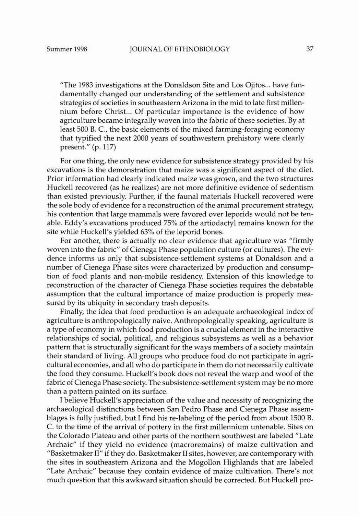"The 1983 investigations at the Donaldson Site and Los Ojitos... have fundamcntally changed our understanding of the settlement and subsistence strategies of societies in southeastern Arizona in the mid to late first millennium before Christ... Of particular importance is the evidence of how agriculture became integrally woven into the fabric of these societies. Byat least 500 B. c., the basic clements of the mixed farming-foraging economy that typified the next 2000 years of southwestern prehistory were clearly present." (p. 117)

For one thing, the only new evidence for subsistence strategy provided by his excavations is the demonstration that maize was a significant aspect of the diet. Prior information had clearly indicated maize was grown, and the two structures Huckell recovered (as he realizes) are not more definitive evidence of sedentism than existed previously. Further, if the faunal materials Huckell recovered were the sole body of evidence for a reconstruction of the animal procurement strategy, his contention that large mammals were favored over leporids would not be tenable. Eddy's excavations produced 75% of the artiodactyl remains known for the site while Huckell's yielded 63% of the leporid bones.

For another, there is actually no clear evidence that agriculture was "firmly woven into the fabric" of Cienega Phase population culture (or cultures). The evidence informs us only that subsistence-settlement systems at Donaldson and a number of Cienega Phase sites were characterized by production and consumption of food plants and non-mobile residency. Extension of this knowledge to reconstruction of the character of Cienega Phase societies requires the debatable assumption that the cultural importance of maize production is properly measured by its ubiquity in secondary trash deposits.

Finally. the idea that food production is an adequate archaeological index of agriculture is anthropologically naive. Anthropologically speaking, agriculture is a type of economy in which food production is a crucial element in the interactive relationships of social, political, and religious subsystems as well as a behavior pattem that is structurally significant for the ways members of a society maintain their standard of living. All groups who produce food do not participate in agricultural economies, and all who do participate in them do not necessarily cultivate the food they consume. Huckell's book does not reveal the warp and woof of the fabric of Cienega Phase society. The subsistence-settlement system may be no more than a pattern painted on its surface.

I believe Huckell's appreciation of the value and necessity of recognizing the archaeological distinctions between San Pedro Phase and Cienega Phase assemblages is fully justified, but I find his re-Iabeling of the period from about 1500 B. C. to the time of the arrival of pottery in the first millennium untenable. Sites on the Colorado Plateau and other parts of the northern southwest are labeled "Late Archaic" if they yield no evidence (macroremains) of maize cultivation and "Basketmaker II" if they do. Basketmaker II sites, however, are contemporary with the sites in southeastem Arizona and the Mogollon Highlands that are labeled "Late Archaic" because they contain evidence of maize cultivation. There's not much question that this awkward situation should be corrected. But Huckell pro-